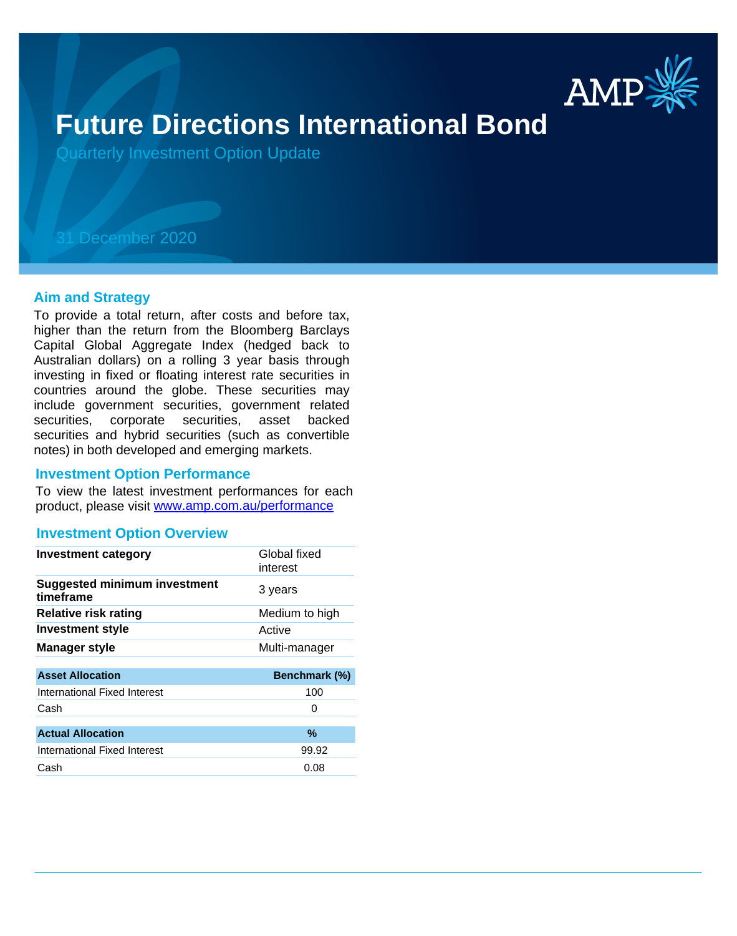

# **Future Directions International Bond**

Quarterly Investment Option Update

# 31 December 2020

## **Aim and Strategy**

To provide a total return, after costs and before tax, higher than the return from the Bloomberg Barclays Capital Global Aggregate Index (hedged back to Australian dollars) on a rolling 3 year basis through investing in fixed or floating interest rate securities in countries around the globe. These securities may include government securities, government related securities, corporate securities, asset backed securities and hybrid securities (such as convertible notes) in both developed and emerging markets.

## **Investment Option Performance**

product, please visit www.amp.com.au/performance To view the latest investment performances for each

## **Investment Option Overview**

| <b>Investment category</b>                       | Global fixed<br>interest |
|--------------------------------------------------|--------------------------|
| <b>Suggested minimum investment</b><br>timeframe | 3 years                  |
| <b>Relative risk rating</b>                      | Medium to high           |
| Investment style                                 | Active                   |
| <b>Manager style</b>                             | Multi-manager            |
|                                                  |                          |
| <b>Asset Allocation</b>                          | Benchmark (%)            |
| International Fixed Interest                     | 100                      |
| Cash                                             | O                        |
|                                                  |                          |
| <b>Actual Allocation</b>                         | %                        |
| International Fixed Interest                     | 99.92                    |
| Cash                                             | 0.08                     |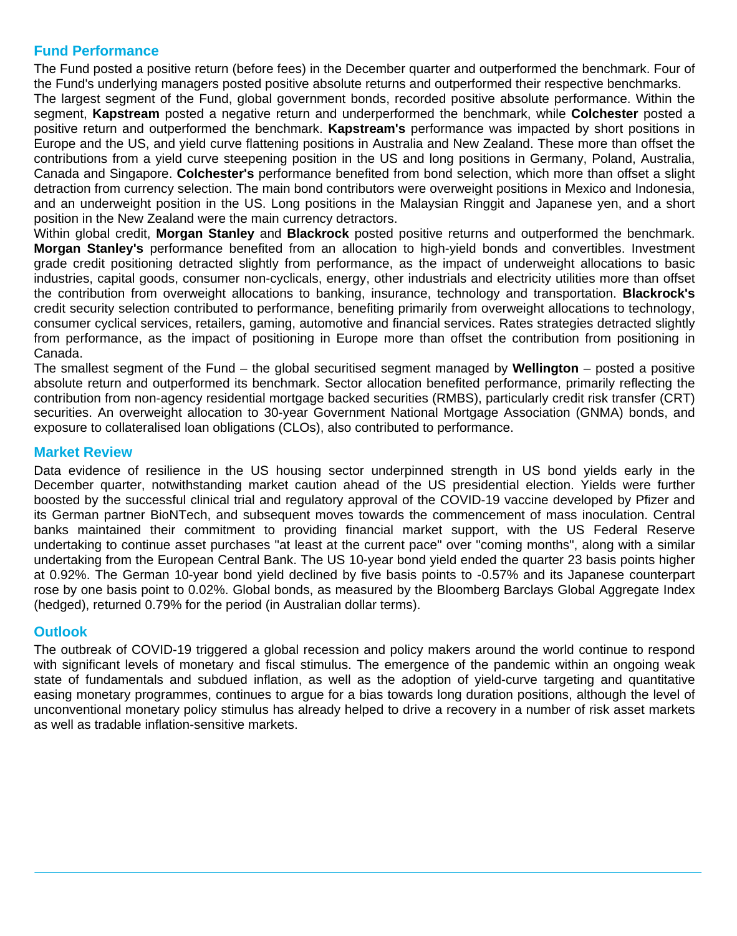# **Fund Performance**

The Fund posted a positive return (before fees) in the December quarter and outperformed the benchmark. Four of the Fund's underlying managers posted positive absolute returns and outperformed their respective benchmarks.

The largest segment of the Fund, global government bonds, recorded positive absolute performance. Within the segment, **Kapstream** posted a negative return and underperformed the benchmark, while **Colchester** posted a positive return and outperformed the benchmark. **Kapstream's** performance was impacted by short positions in Europe and the US, and yield curve flattening positions in Australia and New Zealand. These more than offset the contributions from a yield curve steepening position in the US and long positions in Germany, Poland, Australia, Canada and Singapore. **Colchester's** performance benefited from bond selection, which more than offset a slight detraction from currency selection. The main bond contributors were overweight positions in Mexico and Indonesia, and an underweight position in the US. Long positions in the Malaysian Ringgit and Japanese yen, and a short position in the New Zealand were the main currency detractors.

Within global credit, **Morgan Stanley** and **Blackrock** posted positive returns and outperformed the benchmark. **Morgan Stanley's** performance benefited from an allocation to high-yield bonds and convertibles. Investment grade credit positioning detracted slightly from performance, as the impact of underweight allocations to basic industries, capital goods, consumer non-cyclicals, energy, other industrials and electricity utilities more than offset the contribution from overweight allocations to banking, insurance, technology and transportation. **Blackrock's** credit security selection contributed to performance, benefiting primarily from overweight allocations to technology, consumer cyclical services, retailers, gaming, automotive and financial services. Rates strategies detracted slightly from performance, as the impact of positioning in Europe more than offset the contribution from positioning in Canada.

The smallest segment of the Fund – the global securitised segment managed by **Wellington** – posted a positive absolute return and outperformed its benchmark. Sector allocation benefited performance, primarily reflecting the contribution from non-agency residential mortgage backed securities (RMBS), particularly credit risk transfer (CRT) securities. An overweight allocation to 30-year Government National Mortgage Association (GNMA) bonds, and exposure to collateralised loan obligations (CLOs), also contributed to performance.

# **Market Review**

Data evidence of resilience in the US housing sector underpinned strength in US bond yields early in the December quarter, notwithstanding market caution ahead of the US presidential election. Yields were further boosted by the successful clinical trial and regulatory approval of the COVID-19 vaccine developed by Pfizer and its German partner BioNTech, and subsequent moves towards the commencement of mass inoculation. Central banks maintained their commitment to providing financial market support, with the US Federal Reserve undertaking to continue asset purchases "at least at the current pace" over "coming months", along with a similar undertaking from the European Central Bank. The US 10-year bond yield ended the quarter 23 basis points higher at 0.92%. The German 10-year bond yield declined by five basis points to -0.57% and its Japanese counterpart rose by one basis point to 0.02%. Global bonds, as measured by the Bloomberg Barclays Global Aggregate Index (hedged), returned 0.79% for the period (in Australian dollar terms).

# **Outlook**

The outbreak of COVID-19 triggered a global recession and policy makers around the world continue to respond with significant levels of monetary and fiscal stimulus. The emergence of the pandemic within an ongoing weak state of fundamentals and subdued inflation, as well as the adoption of yield-curve targeting and quantitative easing monetary programmes, continues to argue for a bias towards long duration positions, although the level of unconventional monetary policy stimulus has already helped to drive a recovery in a number of risk asset markets as well as tradable inflation-sensitive markets.